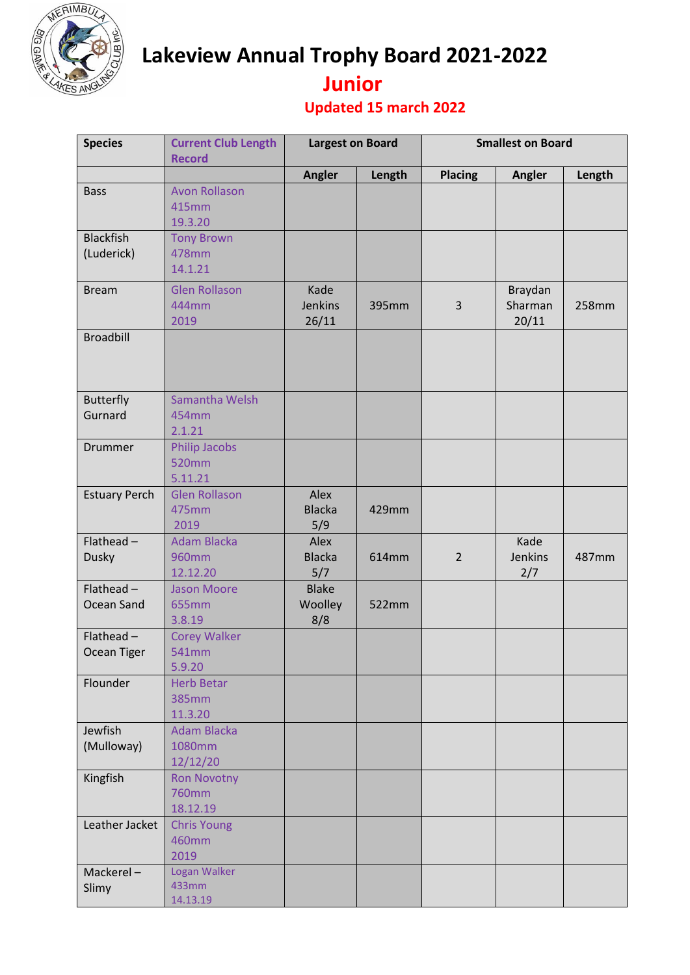

**Lakeview Annual Trophy Board 2021-2022** 

## **Junior**

## **Updated 15 march 2022**

| <b>Species</b>                 | <b>Current Club Length</b><br><b>Record</b>  | <b>Largest on Board</b>        |        | <b>Smallest on Board</b> |                             |        |
|--------------------------------|----------------------------------------------|--------------------------------|--------|--------------------------|-----------------------------|--------|
|                                |                                              | Angler                         | Length | <b>Placing</b>           | Angler                      | Length |
| <b>Bass</b>                    | <b>Avon Rollason</b><br>415mm<br>19.3.20     |                                |        |                          |                             |        |
| <b>Blackfish</b><br>(Luderick) | <b>Tony Brown</b><br>478mm<br>14.1.21        |                                |        |                          |                             |        |
| <b>Bream</b>                   | <b>Glen Rollason</b><br>444mm<br>2019        | Kade<br>Jenkins<br>26/11       | 395mm  | 3                        | Braydan<br>Sharman<br>20/11 | 258mm  |
| <b>Broadbill</b>               |                                              |                                |        |                          |                             |        |
| <b>Butterfly</b><br>Gurnard    | Samantha Welsh<br>454mm<br>2.1.21            |                                |        |                          |                             |        |
| Drummer                        | <b>Philip Jacobs</b><br>520mm<br>5.11.21     |                                |        |                          |                             |        |
| <b>Estuary Perch</b>           | <b>Glen Rollason</b><br>475mm<br>2019        | Alex<br><b>Blacka</b><br>5/9   | 429mm  |                          |                             |        |
| Flathead $-$<br><b>Dusky</b>   | <b>Adam Blacka</b><br>960mm<br>12.12.20      | Alex<br><b>Blacka</b><br>5/7   | 614mm  | $\overline{2}$           | Kade<br>Jenkins<br>2/7      | 487mm  |
| Flathead $-$<br>Ocean Sand     | <b>Jason Moore</b><br>655mm<br>3.8.19        | <b>Blake</b><br>Woolley<br>8/8 | 522mm  |                          |                             |        |
| Flathead $-$<br>Ocean Tiger    | <b>Corey Walker</b><br>541mm<br>5.9.20       |                                |        |                          |                             |        |
| Flounder                       | <b>Herb Betar</b><br><b>385mm</b><br>11.3.20 |                                |        |                          |                             |        |
| Jewfish<br>(Mulloway)          | <b>Adam Blacka</b><br>1080mm<br>12/12/20     |                                |        |                          |                             |        |
| Kingfish                       | <b>Ron Novotny</b><br>760mm<br>18.12.19      |                                |        |                          |                             |        |
| Leather Jacket                 | <b>Chris Young</b><br>460mm<br>2019          |                                |        |                          |                             |        |
| Mackerel-<br>Slimy             | Logan Walker<br>433mm<br>14.13.19            |                                |        |                          |                             |        |